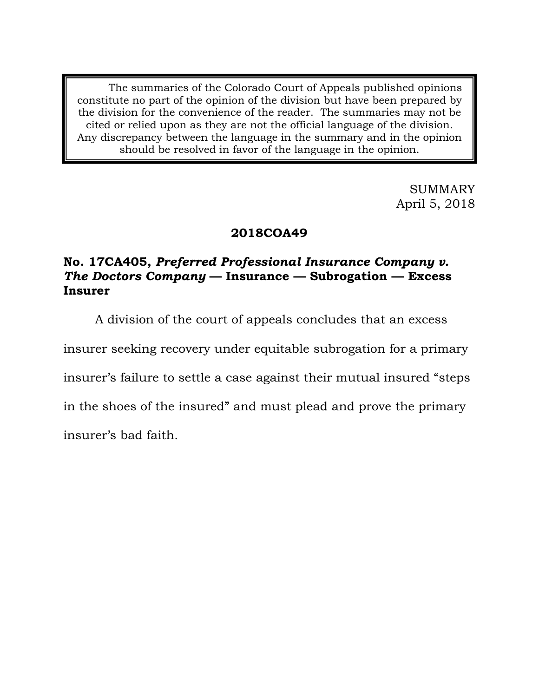The summaries of the Colorado Court of Appeals published opinions constitute no part of the opinion of the division but have been prepared by the division for the convenience of the reader. The summaries may not be cited or relied upon as they are not the official language of the division. Any discrepancy between the language in the summary and in the opinion should be resolved in favor of the language in the opinion.

> SUMMARY April 5, 2018

# **2018COA49**

# **No. 17CA405,** *Preferred Professional Insurance Company v. The Doctors Company* **— Insurance — Subrogation — Excess Insurer**

A division of the court of appeals concludes that an excess

insurer seeking recovery under equitable subrogation for a primary

insurer's failure to settle a case against their mutual insured "steps

in the shoes of the insured" and must plead and prove the primary

insurer's bad faith.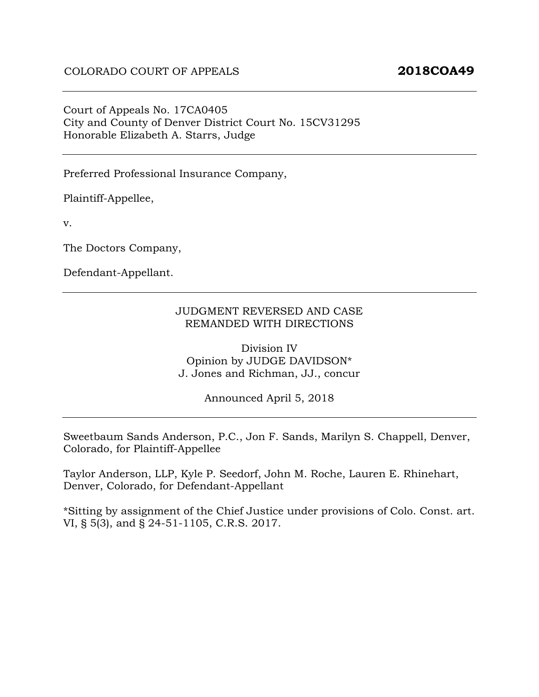#### Court of Appeals No. 17CA0405 City and County of Denver District Court No. 15CV31295 Honorable Elizabeth A. Starrs, Judge

Preferred Professional Insurance Company,

Plaintiff-Appellee,

v.

The Doctors Company,

Defendant-Appellant.

#### JUDGMENT REVERSED AND CASE REMANDED WITH DIRECTIONS

Division IV Opinion by JUDGE DAVIDSON\* J. Jones and Richman, JJ., concur

Announced April 5, 2018

Sweetbaum Sands Anderson, P.C., Jon F. Sands, Marilyn S. Chappell, Denver, Colorado, for Plaintiff-Appellee

Taylor Anderson, LLP, Kyle P. Seedorf, John M. Roche, Lauren E. Rhinehart, Denver, Colorado, for Defendant-Appellant

\*Sitting by assignment of the Chief Justice under provisions of Colo. Const. art. VI, § 5(3), and § 24-51-1105, C.R.S. 2017.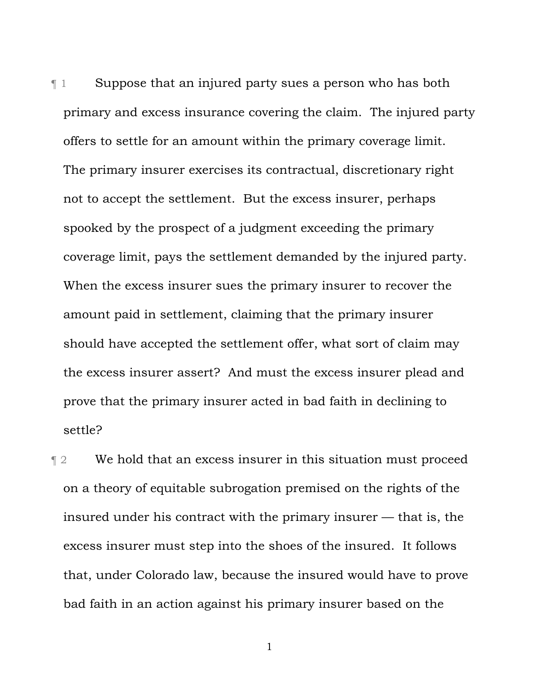¶ 1 Suppose that an injured party sues a person who has both primary and excess insurance covering the claim. The injured party offers to settle for an amount within the primary coverage limit. The primary insurer exercises its contractual, discretionary right not to accept the settlement. But the excess insurer, perhaps spooked by the prospect of a judgment exceeding the primary coverage limit, pays the settlement demanded by the injured party. When the excess insurer sues the primary insurer to recover the amount paid in settlement, claiming that the primary insurer should have accepted the settlement offer, what sort of claim may the excess insurer assert? And must the excess insurer plead and prove that the primary insurer acted in bad faith in declining to settle?

¶ 2 We hold that an excess insurer in this situation must proceed on a theory of equitable subrogation premised on the rights of the insured under his contract with the primary insurer — that is, the excess insurer must step into the shoes of the insured. It follows that, under Colorado law, because the insured would have to prove bad faith in an action against his primary insurer based on the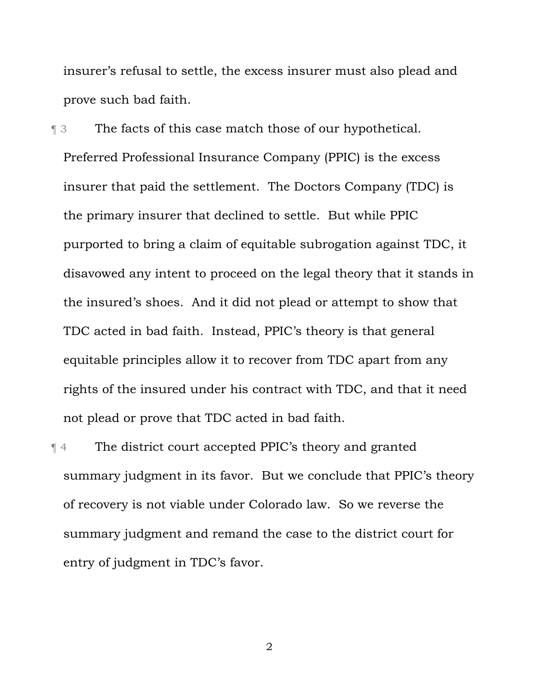insurer's refusal to settle, the excess insurer must also plead and prove such bad faith.

¶ 3 The facts of this case match those of our hypothetical. Preferred Professional Insurance Company (PPIC) is the excess insurer that paid the settlement. The Doctors Company (TDC) is the primary insurer that declined to settle. But while PPIC purported to bring a claim of equitable subrogation against TDC, it disavowed any intent to proceed on the legal theory that it stands in the insured's shoes. And it did not plead or attempt to show that TDC acted in bad faith. Instead, PPIC's theory is that general equitable principles allow it to recover from TDC apart from any rights of the insured under his contract with TDC, and that it need not plead or prove that TDC acted in bad faith.

¶ 4 The district court accepted PPIC's theory and granted summary judgment in its favor. But we conclude that PPIC's theory of recovery is not viable under Colorado law. So we reverse the summary judgment and remand the case to the district court for entry of judgment in TDC's favor.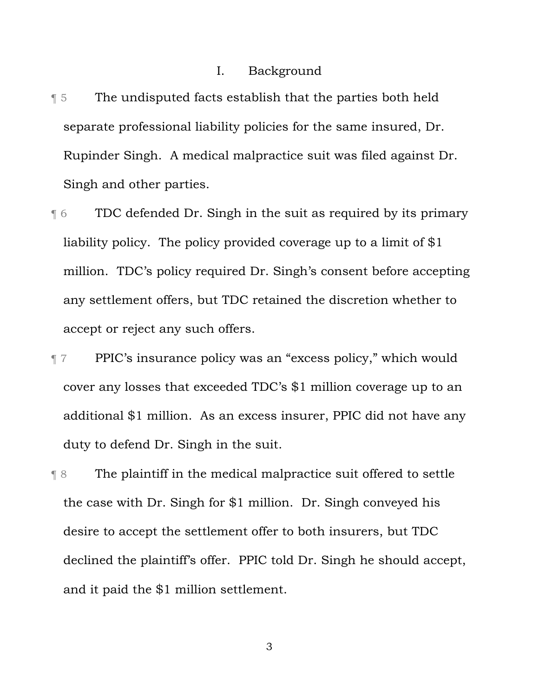#### I. Background

- **The undisputed facts establish that the parties both held** separate professional liability policies for the same insured, Dr. Rupinder Singh. A medical malpractice suit was filed against Dr. Singh and other parties.
- ¶ 6 TDC defended Dr. Singh in the suit as required by its primary liability policy. The policy provided coverage up to a limit of \$1 million. TDC's policy required Dr. Singh's consent before accepting any settlement offers, but TDC retained the discretion whether to accept or reject any such offers.
- ¶ 7 PPIC's insurance policy was an "excess policy," which would cover any losses that exceeded TDC's \$1 million coverage up to an additional \$1 million. As an excess insurer, PPIC did not have any duty to defend Dr. Singh in the suit.
- ¶ 8 The plaintiff in the medical malpractice suit offered to settle the case with Dr. Singh for \$1 million. Dr. Singh conveyed his desire to accept the settlement offer to both insurers, but TDC declined the plaintiff's offer. PPIC told Dr. Singh he should accept, and it paid the \$1 million settlement.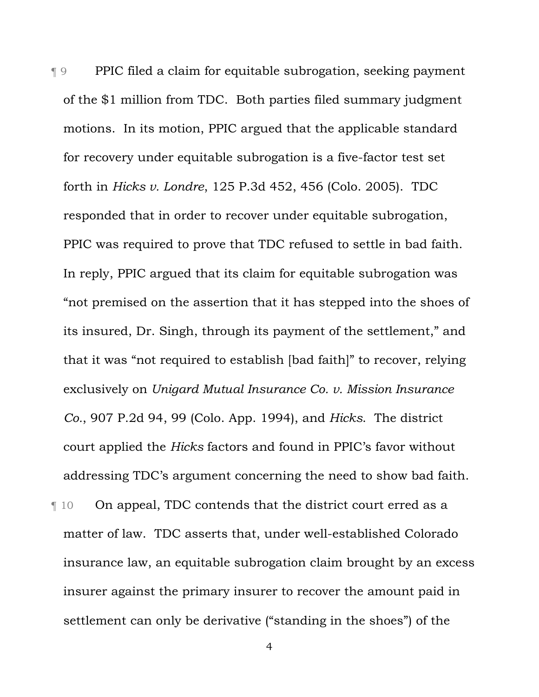¶ 9 PPIC filed a claim for equitable subrogation, seeking payment of the \$1 million from TDC. Both parties filed summary judgment motions. In its motion, PPIC argued that the applicable standard for recovery under equitable subrogation is a five-factor test set forth in *Hicks v. Londre*, 125 P.3d 452, 456 (Colo. 2005). TDC responded that in order to recover under equitable subrogation, PPIC was required to prove that TDC refused to settle in bad faith. In reply, PPIC argued that its claim for equitable subrogation was "not premised on the assertion that it has stepped into the shoes of its insured, Dr. Singh, through its payment of the settlement," and that it was "not required to establish [bad faith]" to recover, relying exclusively on *Unigard Mutual Insurance Co. v. Mission Insurance Co.*, 907 P.2d 94, 99 (Colo. App. 1994), and *Hicks*. The district court applied the *Hicks* factors and found in PPIC's favor without addressing TDC's argument concerning the need to show bad faith. ¶ 10 On appeal, TDC contends that the district court erred as a matter of law. TDC asserts that, under well-established Colorado insurance law, an equitable subrogation claim brought by an excess insurer against the primary insurer to recover the amount paid in settlement can only be derivative ("standing in the shoes") of the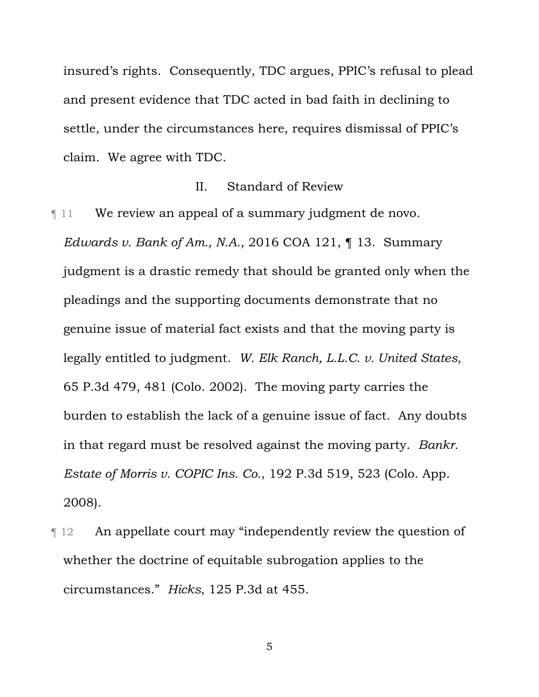insured's rights. Consequently, TDC argues, PPIC's refusal to plead and present evidence that TDC acted in bad faith in declining to settle, under the circumstances here, requires dismissal of PPIC's claim. We agree with TDC.

#### II. Standard of Review

¶ 11 We review an appeal of a summary judgment de novo.

*Edwards v. Bank of Am., N.A.*, 2016 COA 121, ¶ 13. Summary judgment is a drastic remedy that should be granted only when the pleadings and the supporting documents demonstrate that no genuine issue of material fact exists and that the moving party is legally entitled to judgment. *W. Elk Ranch, L.L.C. v. United States*, 65 P.3d 479, 481 (Colo. 2002). The moving party carries the burden to establish the lack of a genuine issue of fact. Any doubts in that regard must be resolved against the moving party. *Bankr. Estate of Morris v. COPIC Ins. Co.*, 192 P.3d 519, 523 (Colo. App. 2008).

¶ 12 An appellate court may "independently review the question of whether the doctrine of equitable subrogation applies to the circumstances." *Hicks*, 125 P.3d at 455.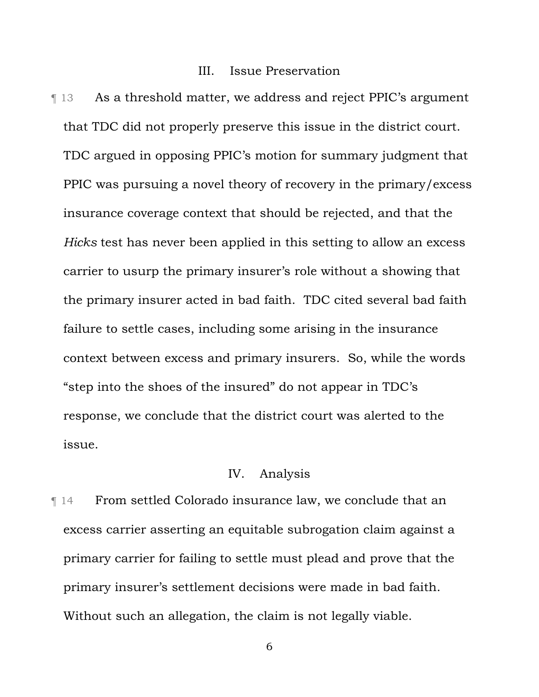#### III. Issue Preservation

**Term 3.13 As a threshold matter, we address and reject PPIC's argument** that TDC did not properly preserve this issue in the district court. TDC argued in opposing PPIC's motion for summary judgment that PPIC was pursuing a novel theory of recovery in the primary/excess insurance coverage context that should be rejected, and that the *Hicks* test has never been applied in this setting to allow an excess carrier to usurp the primary insurer's role without a showing that the primary insurer acted in bad faith. TDC cited several bad faith failure to settle cases, including some arising in the insurance context between excess and primary insurers. So, while the words "step into the shoes of the insured" do not appear in TDC's response, we conclude that the district court was alerted to the issue.

## IV. Analysis

¶ 14 From settled Colorado insurance law, we conclude that an excess carrier asserting an equitable subrogation claim against a primary carrier for failing to settle must plead and prove that the primary insurer's settlement decisions were made in bad faith. Without such an allegation, the claim is not legally viable.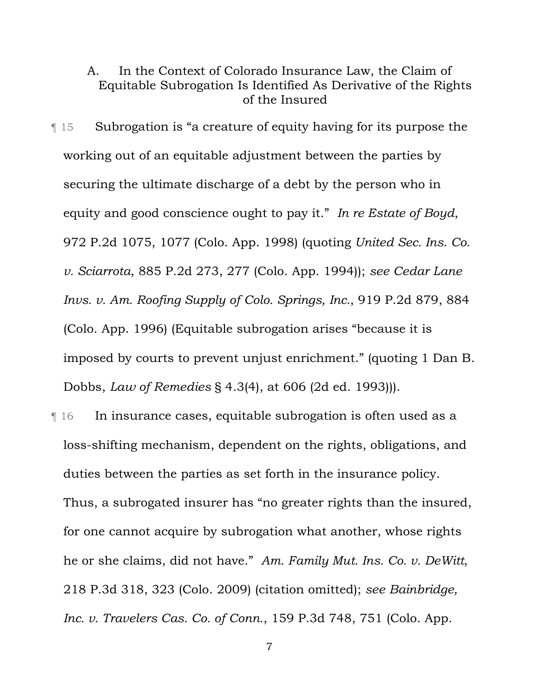# A. In the Context of Colorado Insurance Law, the Claim of Equitable Subrogation Is Identified As Derivative of the Rights of the Insured

¶ 15 Subrogation is "a creature of equity having for its purpose the working out of an equitable adjustment between the parties by securing the ultimate discharge of a debt by the person who in equity and good conscience ought to pay it." *In re Estate of Boyd*, 972 P.2d 1075, 1077 (Colo. App. 1998) (quoting *United Sec. Ins. Co. v. Sciarrota*, 885 P.2d 273, 277 (Colo. App. 1994)); *see Cedar Lane Invs. v. Am. Roofing Supply of Colo. Springs, Inc.*, 919 P.2d 879, 884 (Colo. App. 1996) (Equitable subrogation arises "because it is imposed by courts to prevent unjust enrichment." (quoting 1 Dan B. Dobbs, *Law of Remedies* § 4.3(4), at 606 (2d ed. 1993))).

¶ 16 In insurance cases, equitable subrogation is often used as a loss-shifting mechanism, dependent on the rights, obligations, and duties between the parties as set forth in the insurance policy. Thus, a subrogated insurer has "no greater rights than the insured, for one cannot acquire by subrogation what another, whose rights he or she claims, did not have." *Am. Family Mut. Ins. Co. v. DeWitt*, 218 P.3d 318, 323 (Colo. 2009) (citation omitted); *see Bainbridge, Inc. v. Travelers Cas. Co. of Conn.*, 159 P.3d 748, 751 (Colo. App.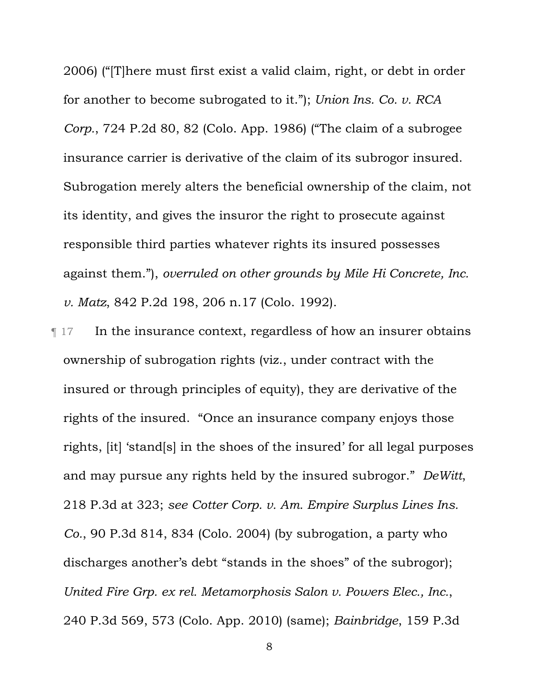2006) ("[T]here must first exist a valid claim, right, or debt in order for another to become subrogated to it."); *Union Ins. Co. v. RCA Corp.*, 724 P.2d 80, 82 (Colo. App. 1986) ("The claim of a subrogee insurance carrier is derivative of the claim of its subrogor insured. Subrogation merely alters the beneficial ownership of the claim, not its identity, and gives the insuror the right to prosecute against responsible third parties whatever rights its insured possesses against them."), *overruled on other grounds by Mile Hi Concrete, Inc. v. Matz*, 842 P.2d 198, 206 n.17 (Colo. 1992).

**Term 17** In the insurance context, regardless of how an insurer obtains ownership of subrogation rights (viz., under contract with the insured or through principles of equity), they are derivative of the rights of the insured. "Once an insurance company enjoys those rights, [it] 'stand[s] in the shoes of the insured' for all legal purposes and may pursue any rights held by the insured subrogor." *DeWitt*, 218 P.3d at 323; *see Cotter Corp. v. Am. Empire Surplus Lines Ins. Co.*, 90 P.3d 814, 834 (Colo. 2004) (by subrogation, a party who discharges another's debt "stands in the shoes" of the subrogor); *United Fire Grp. ex rel. Metamorphosis Salon v. Powers Elec., Inc.*, 240 P.3d 569, 573 (Colo. App. 2010) (same); *Bainbridge*, 159 P.3d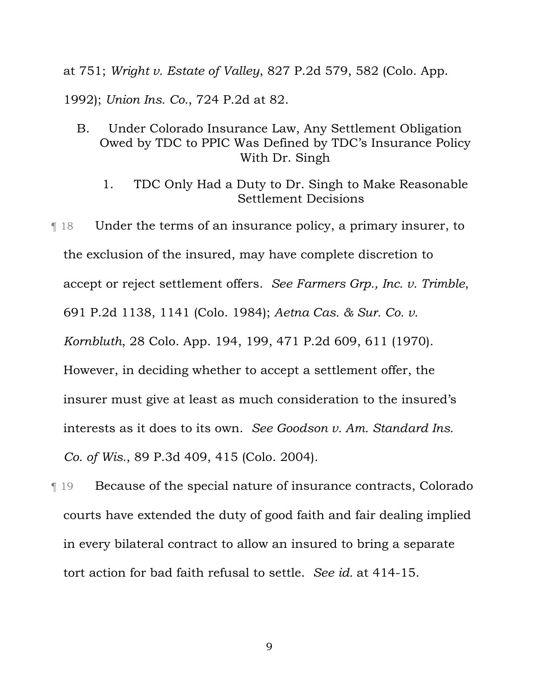at 751; *Wright v. Estate of Valley*, 827 P.2d 579, 582 (Colo. App.

1992); *Union Ins. Co.*, 724 P.2d at 82.

- B. Under Colorado Insurance Law, Any Settlement Obligation Owed by TDC to PPIC Was Defined by TDC's Insurance Policy With Dr. Singh
	- 1. TDC Only Had a Duty to Dr. Singh to Make Reasonable Settlement Decisions
- ¶ 18 Under the terms of an insurance policy, a primary insurer, to the exclusion of the insured, may have complete discretion to accept or reject settlement offers. *See Farmers Grp., Inc. v. Trimble*, 691 P.2d 1138, 1141 (Colo. 1984); *Aetna Cas. & Sur. Co. v. Kornbluth*, 28 Colo. App. 194, 199, 471 P.2d 609, 611 (1970). However, in deciding whether to accept a settlement offer, the insurer must give at least as much consideration to the insured's interests as it does to its own. *See Goodson v. Am. Standard Ins. Co. of Wis.*, 89 P.3d 409, 415 (Colo. 2004).
- ¶ 19 Because of the special nature of insurance contracts, Colorado courts have extended the duty of good faith and fair dealing implied in every bilateral contract to allow an insured to bring a separate tort action for bad faith refusal to settle. *See id.* at 414-15.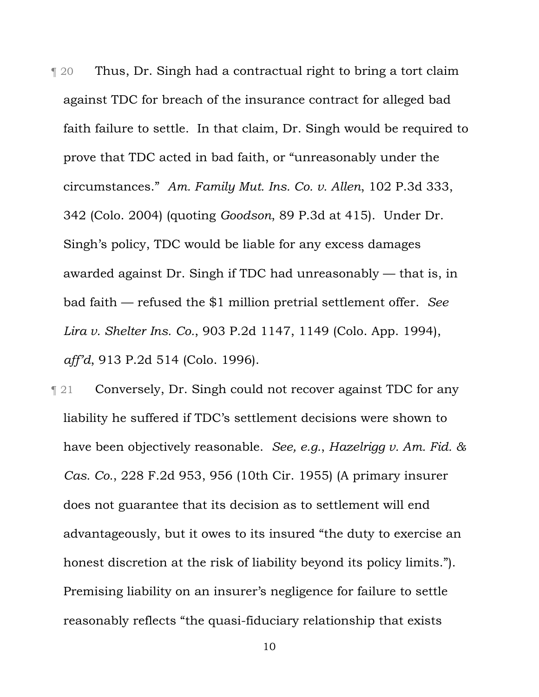¶ 20 Thus, Dr. Singh had a contractual right to bring a tort claim against TDC for breach of the insurance contract for alleged bad faith failure to settle. In that claim, Dr. Singh would be required to prove that TDC acted in bad faith, or "unreasonably under the circumstances." *Am. Family Mut. Ins. Co. v. Allen*, 102 P.3d 333, 342 (Colo. 2004) (quoting *Goodson*, 89 P.3d at 415). Under Dr. Singh's policy, TDC would be liable for any excess damages awarded against Dr. Singh if TDC had unreasonably — that is, in bad faith — refused the \$1 million pretrial settlement offer. *See Lira v. Shelter Ins. Co.*, 903 P.2d 1147, 1149 (Colo. App. 1994), *aff'd*, 913 P.2d 514 (Colo. 1996).

**Term 21** Conversely, Dr. Singh could not recover against TDC for any liability he suffered if TDC's settlement decisions were shown to have been objectively reasonable. *See, e.g.*, *Hazelrigg v. Am. Fid. & Cas. Co.*, 228 F.2d 953, 956 (10th Cir. 1955) (A primary insurer does not guarantee that its decision as to settlement will end advantageously, but it owes to its insured "the duty to exercise an honest discretion at the risk of liability beyond its policy limits."). Premising liability on an insurer's negligence for failure to settle reasonably reflects "the quasi-fiduciary relationship that exists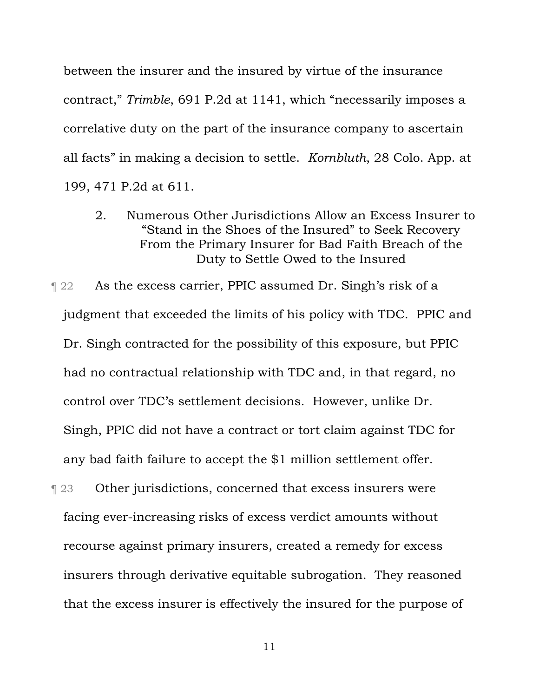between the insurer and the insured by virtue of the insurance contract," *Trimble*, 691 P.2d at 1141, which "necessarily imposes a correlative duty on the part of the insurance company to ascertain all facts" in making a decision to settle. *Kornbluth*, 28 Colo. App. at 199, 471 P.2d at 611.

2. Numerous Other Jurisdictions Allow an Excess Insurer to "Stand in the Shoes of the Insured" to Seek Recovery From the Primary Insurer for Bad Faith Breach of the Duty to Settle Owed to the Insured

**Tellah 22** As the excess carrier, PPIC assumed Dr. Singh's risk of a judgment that exceeded the limits of his policy with TDC. PPIC and Dr. Singh contracted for the possibility of this exposure, but PPIC had no contractual relationship with TDC and, in that regard, no control over TDC's settlement decisions. However, unlike Dr. Singh, PPIC did not have a contract or tort claim against TDC for any bad faith failure to accept the \$1 million settlement offer.

**Term 23** Other jurisdictions, concerned that excess insurers were facing ever-increasing risks of excess verdict amounts without recourse against primary insurers, created a remedy for excess insurers through derivative equitable subrogation. They reasoned that the excess insurer is effectively the insured for the purpose of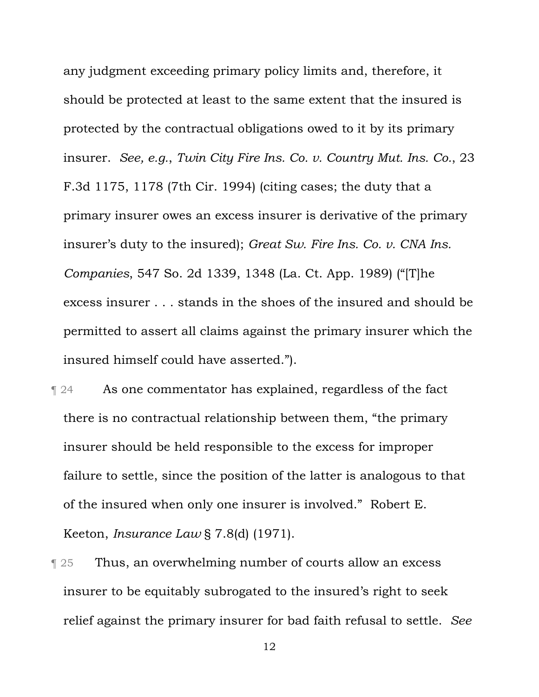any judgment exceeding primary policy limits and, therefore, it should be protected at least to the same extent that the insured is protected by the contractual obligations owed to it by its primary insurer. *See, e.g.*, *Twin City Fire Ins. Co. v. Country Mut. Ins. Co.*, 23 F.3d 1175, 1178 (7th Cir. 1994) (citing cases; the duty that a primary insurer owes an excess insurer is derivative of the primary insurer's duty to the insured); *Great Sw. Fire Ins. Co. v. CNA Ins. Companies*, 547 So. 2d 1339, 1348 (La. Ct. App. 1989) ("[T]he excess insurer . . . stands in the shoes of the insured and should be permitted to assert all claims against the primary insurer which the insured himself could have asserted.").

- **Term 24** As one commentator has explained, regardless of the fact there is no contractual relationship between them, "the primary insurer should be held responsible to the excess for improper failure to settle, since the position of the latter is analogous to that of the insured when only one insurer is involved." Robert E. Keeton, *Insurance Law* § 7.8(d) (1971).
- **Thus, an overwhelming number of courts allow an excess** insurer to be equitably subrogated to the insured's right to seek relief against the primary insurer for bad faith refusal to settle. *See*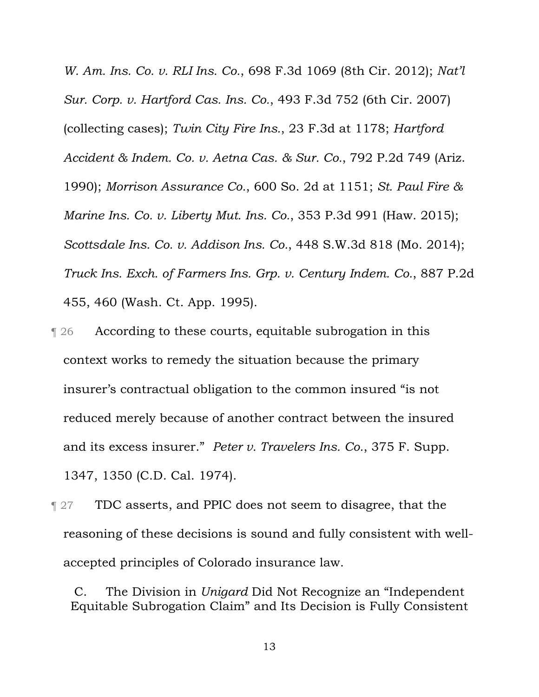*W. Am. Ins. Co. v. RLI Ins. Co.*, 698 F.3d 1069 (8th Cir. 2012); *Nat'l Sur. Corp. v. Hartford Cas. Ins. Co.*, 493 F.3d 752 (6th Cir. 2007) (collecting cases); *Twin City Fire Ins.*, 23 F.3d at 1178; *Hartford Accident & Indem. Co. v. Aetna Cas. & Sur. Co.*, 792 P.2d 749 (Ariz. 1990); *Morrison Assurance Co.*, 600 So. 2d at 1151; *St. Paul Fire & Marine Ins. Co. v. Liberty Mut. Ins. Co.*, 353 P.3d 991 (Haw. 2015); *Scottsdale Ins. Co. v. Addison Ins. Co.*, 448 S.W.3d 818 (Mo. 2014); *Truck Ins. Exch. of Farmers Ins. Grp. v. Century Indem. Co.*, 887 P.2d 455, 460 (Wash. Ct. App. 1995).

- ¶ 26 According to these courts, equitable subrogation in this context works to remedy the situation because the primary insurer's contractual obligation to the common insured "is not reduced merely because of another contract between the insured and its excess insurer." *Peter v. Travelers Ins. Co.*, 375 F. Supp. 1347, 1350 (C.D. Cal. 1974).
- **THPU TDC** asserts, and PPIC does not seem to disagree, that the reasoning of these decisions is sound and fully consistent with wellaccepted principles of Colorado insurance law.

C. The Division in *Unigard* Did Not Recognize an "Independent Equitable Subrogation Claim" and Its Decision is Fully Consistent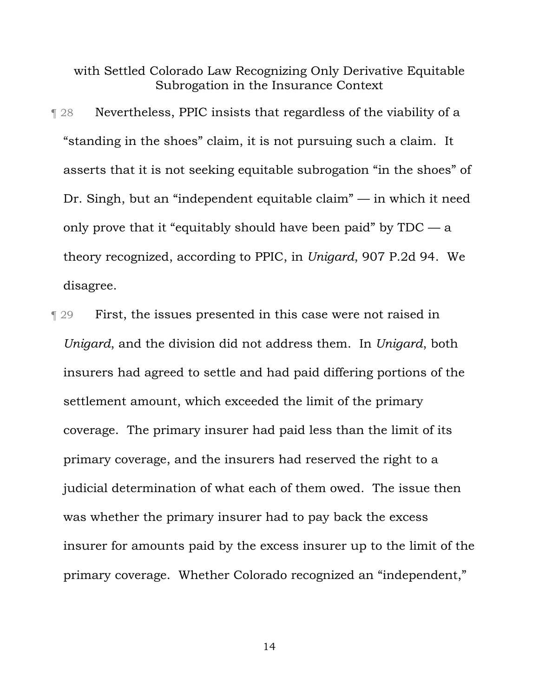with Settled Colorado Law Recognizing Only Derivative Equitable Subrogation in the Insurance Context

- ¶ 28 Nevertheless, PPIC insists that regardless of the viability of a "standing in the shoes" claim, it is not pursuing such a claim. It asserts that it is not seeking equitable subrogation "in the shoes" of Dr. Singh, but an "independent equitable claim" — in which it need only prove that it "equitably should have been paid" by  $TDC - a$ theory recognized, according to PPIC, in *Unigard*, 907 P.2d 94. We disagree.
- ¶ 29 First, the issues presented in this case were not raised in *Unigard*, and the division did not address them. In *Unigard*, both insurers had agreed to settle and had paid differing portions of the settlement amount, which exceeded the limit of the primary coverage. The primary insurer had paid less than the limit of its primary coverage, and the insurers had reserved the right to a judicial determination of what each of them owed. The issue then was whether the primary insurer had to pay back the excess insurer for amounts paid by the excess insurer up to the limit of the primary coverage. Whether Colorado recognized an "independent,"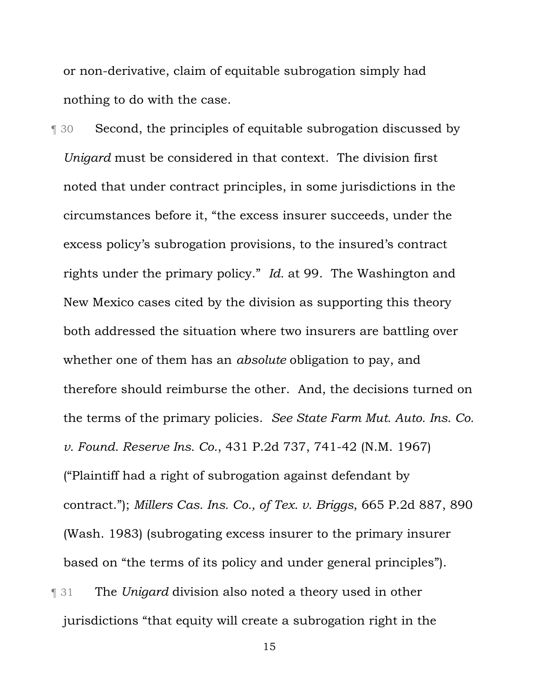or non-derivative, claim of equitable subrogation simply had nothing to do with the case.

¶ 30 Second, the principles of equitable subrogation discussed by *Unigard* must be considered in that context. The division first noted that under contract principles, in some jurisdictions in the circumstances before it, "the excess insurer succeeds, under the excess policy's subrogation provisions, to the insured's contract rights under the primary policy." *Id.* at 99. The Washington and New Mexico cases cited by the division as supporting this theory both addressed the situation where two insurers are battling over whether one of them has an *absolute* obligation to pay, and therefore should reimburse the other. And, the decisions turned on the terms of the primary policies. *See State Farm Mut. Auto. Ins. Co. v. Found. Reserve Ins. Co.*, 431 P.2d 737, 741-42 (N.M. 1967) ("Plaintiff had a right of subrogation against defendant by contract."); *Millers Cas. Ins. Co., of Tex. v. Briggs*, 665 P.2d 887, 890 (Wash. 1983) (subrogating excess insurer to the primary insurer based on "the terms of its policy and under general principles").

¶ 31 The *Unigard* division also noted a theory used in other jurisdictions "that equity will create a subrogation right in the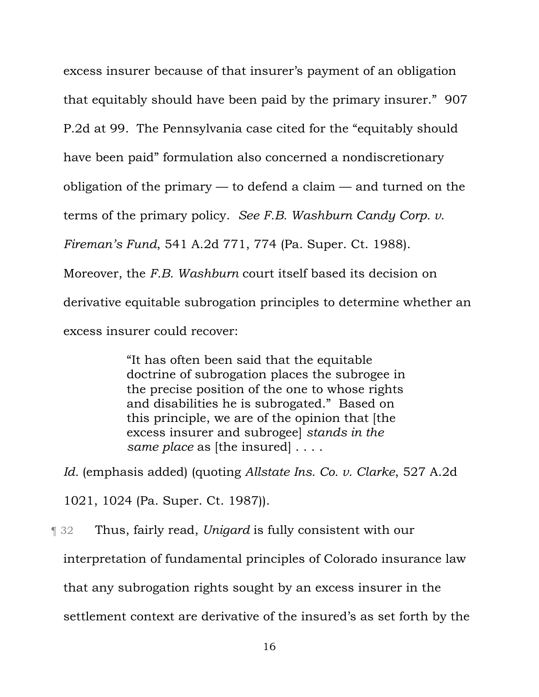excess insurer because of that insurer's payment of an obligation that equitably should have been paid by the primary insurer." 907 P.2d at 99.The Pennsylvania case cited for the "equitably should have been paid" formulation also concerned a nondiscretionary obligation of the primary — to defend a claim — and turned on the terms of the primary policy. *See F.B. Washburn Candy Corp. v. Fireman's Fund*, 541 A.2d 771, 774 (Pa. Super. Ct. 1988). Moreover, the *F.B. Washburn* court itself based its decision on derivative equitable subrogation principles to determine whether an excess insurer could recover:

> "It has often been said that the equitable doctrine of subrogation places the subrogee in the precise position of the one to whose rights and disabilities he is subrogated." Based on this principle, we are of the opinion that [the excess insurer and subrogee] *stands in the same place* as [the insured] . . . .

*Id.* (emphasis added) (quoting *Allstate Ins. Co. v. Clarke*, 527 A.2d

1021, 1024 (Pa. Super. Ct. 1987)).

¶ 32 Thus, fairly read, *Unigard* is fully consistent with our interpretation of fundamental principles of Colorado insurance law that any subrogation rights sought by an excess insurer in the settlement context are derivative of the insured's as set forth by the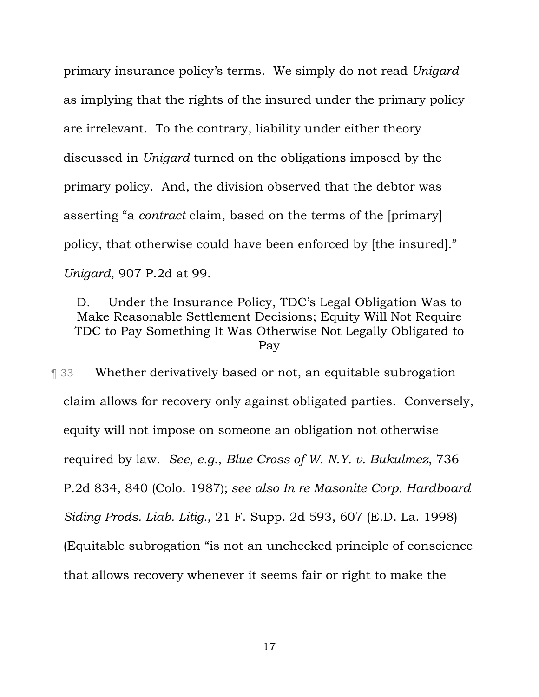primary insurance policy's terms. We simply do not read *Unigard* as implying that the rights of the insured under the primary policy are irrelevant. To the contrary, liability under either theory discussed in *Unigard* turned on the obligations imposed by the primary policy. And, the division observed that the debtor was asserting "a *contract* claim, based on the terms of the [primary] policy, that otherwise could have been enforced by [the insured]." *Unigard*, 907 P.2d at 99.

D. Under the Insurance Policy, TDC's Legal Obligation Was to Make Reasonable Settlement Decisions; Equity Will Not Require TDC to Pay Something It Was Otherwise Not Legally Obligated to Pay

¶ 33 Whether derivatively based or not, an equitable subrogation claim allows for recovery only against obligated parties. Conversely, equity will not impose on someone an obligation not otherwise required by law. *See, e.g.*, *Blue Cross of W. N.Y. v. Bukulmez*, 736 P.2d 834, 840 (Colo. 1987); *see also In re Masonite Corp. Hardboard Siding Prods. Liab. Litig.*, 21 F. Supp. 2d 593, 607 (E.D. La. 1998) (Equitable subrogation "is not an unchecked principle of conscience that allows recovery whenever it seems fair or right to make the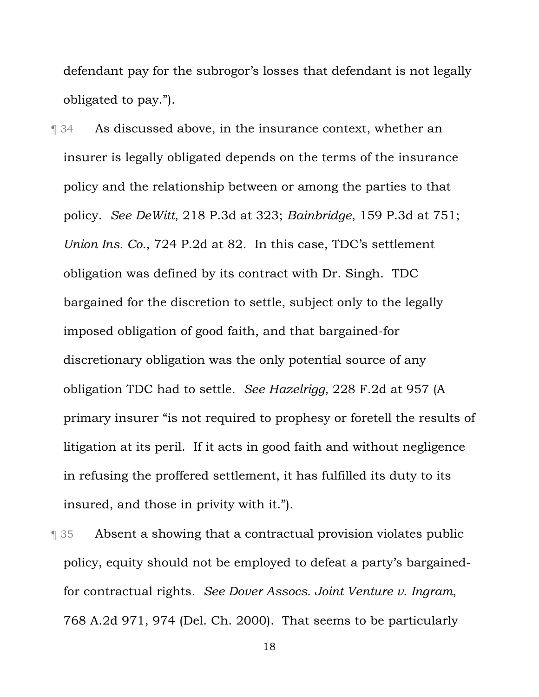defendant pay for the subrogor's losses that defendant is not legally obligated to pay.").

**Term 34** As discussed above, in the insurance context, whether an insurer is legally obligated depends on the terms of the insurance policy and the relationship between or among the parties to that policy. *See DeWitt*, 218 P.3d at 323; *Bainbridge*, 159 P.3d at 751; *Union Ins. Co.*, 724 P.2d at 82. In this case, TDC's settlement obligation was defined by its contract with Dr. Singh. TDC bargained for the discretion to settle, subject only to the legally imposed obligation of good faith, and that bargained-for discretionary obligation was the only potential source of any obligation TDC had to settle. *See Hazelrigg*, 228 F.2d at 957 (A primary insurer "is not required to prophesy or foretell the results of litigation at its peril. If it acts in good faith and without negligence in refusing the proffered settlement, it has fulfilled its duty to its insured, and those in privity with it.").

¶ 35 Absent a showing that a contractual provision violates public policy, equity should not be employed to defeat a party's bargainedfor contractual rights. *See Dover Assocs. Joint Venture v. Ingram*, 768 A.2d 971, 974 (Del. Ch. 2000). That seems to be particularly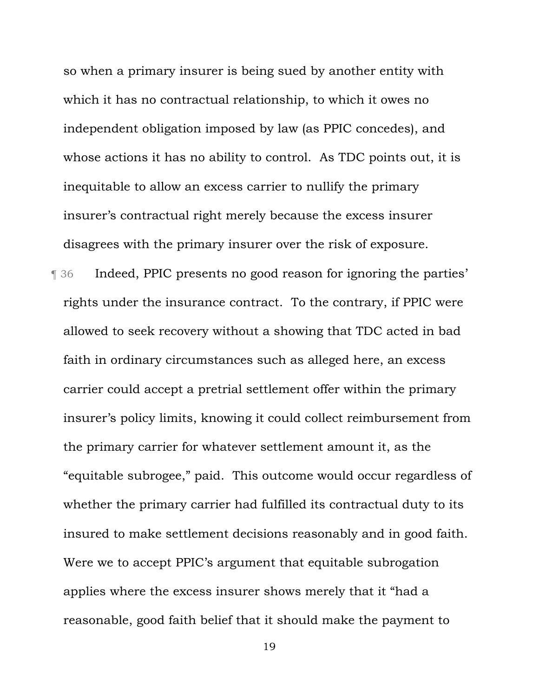so when a primary insurer is being sued by another entity with which it has no contractual relationship, to which it owes no independent obligation imposed by law (as PPIC concedes), and whose actions it has no ability to control. As TDC points out, it is inequitable to allow an excess carrier to nullify the primary insurer's contractual right merely because the excess insurer disagrees with the primary insurer over the risk of exposure.

¶ 36 Indeed, PPIC presents no good reason for ignoring the parties' rights under the insurance contract. To the contrary, if PPIC were allowed to seek recovery without a showing that TDC acted in bad faith in ordinary circumstances such as alleged here, an excess carrier could accept a pretrial settlement offer within the primary insurer's policy limits, knowing it could collect reimbursement from the primary carrier for whatever settlement amount it, as the "equitable subrogee," paid. This outcome would occur regardless of whether the primary carrier had fulfilled its contractual duty to its insured to make settlement decisions reasonably and in good faith. Were we to accept PPIC's argument that equitable subrogation applies where the excess insurer shows merely that it "had a reasonable, good faith belief that it should make the payment to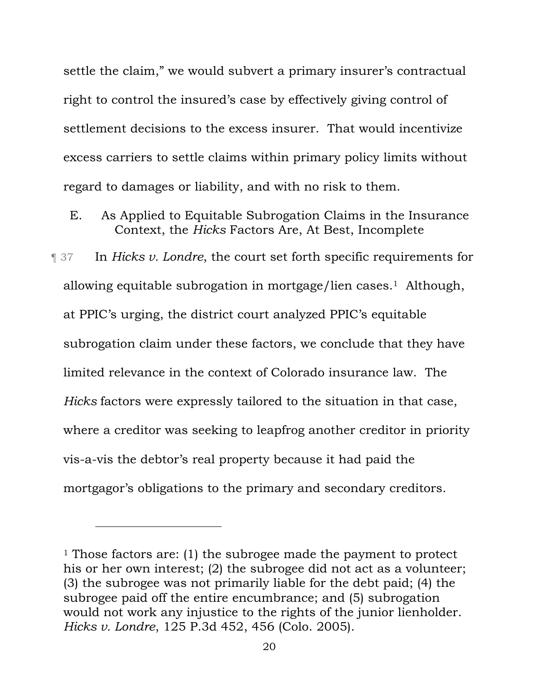settle the claim," we would subvert a primary insurer's contractual right to control the insured's case by effectively giving control of settlement decisions to the excess insurer. That would incentivize excess carriers to settle claims within primary policy limits without regard to damages or liability, and with no risk to them.

E. As Applied to Equitable Subrogation Claims in the Insurance Context, the *Hicks* Factors Are, At Best, Incomplete

¶ 37 In *Hicks v. Londre*, the court set forth specific requirements for allowing equitable subrogation in mortgage/lien cases.1 Although, at PPIC's urging, the district court analyzed PPIC's equitable subrogation claim under these factors, we conclude that they have limited relevance in the context of Colorado insurance law. The *Hicks* factors were expressly tailored to the situation in that case, where a creditor was seeking to leapfrog another creditor in priority vis-a-vis the debtor's real property because it had paid the mortgagor's obligations to the primary and secondary creditors.

l

<sup>&</sup>lt;sup>1</sup> Those factors are: (1) the subrogee made the payment to protect his or her own interest; (2) the subrogee did not act as a volunteer; (3) the subrogee was not primarily liable for the debt paid; (4) the subrogee paid off the entire encumbrance; and (5) subrogation would not work any injustice to the rights of the junior lienholder. *Hicks v. Londre*, 125 P.3d 452, 456 (Colo. 2005).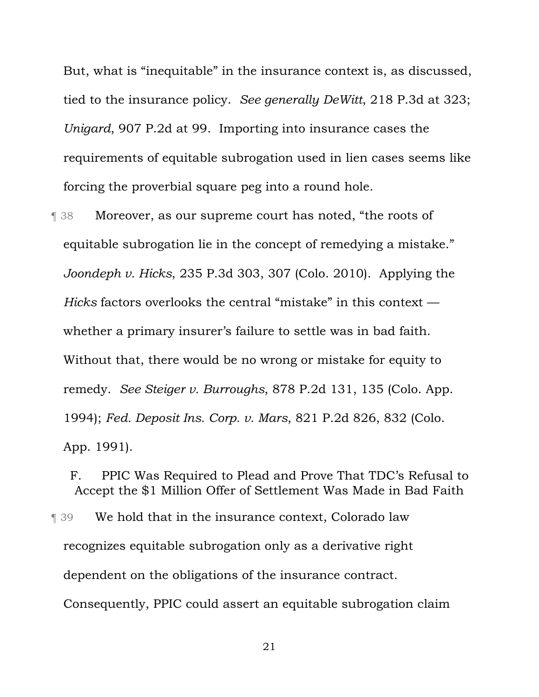But, what is "inequitable" in the insurance context is, as discussed, tied to the insurance policy. *See generally DeWitt*, 218 P.3d at 323; *Unigard*, 907 P.2d at 99. Importing into insurance cases the requirements of equitable subrogation used in lien cases seems like forcing the proverbial square peg into a round hole.

¶ 38 Moreover, as our supreme court has noted, "the roots of equitable subrogation lie in the concept of remedying a mistake." *Joondeph v. Hicks*, 235 P.3d 303, 307 (Colo. 2010). Applying the *Hicks* factors overlooks the central "mistake" in this context whether a primary insurer's failure to settle was in bad faith. Without that, there would be no wrong or mistake for equity to remedy. *See Steiger v. Burroughs*, 878 P.2d 131, 135 (Colo. App. 1994); *Fed. Deposit Ins. Corp. v. Mars*, 821 P.2d 826, 832 (Colo. App. 1991).

F. PPIC Was Required to Plead and Prove That TDC's Refusal to Accept the \$1 Million Offer of Settlement Was Made in Bad Faith ¶ 39 We hold that in the insurance context, Colorado law recognizes equitable subrogation only as a derivative right dependent on the obligations of the insurance contract. Consequently, PPIC could assert an equitable subrogation claim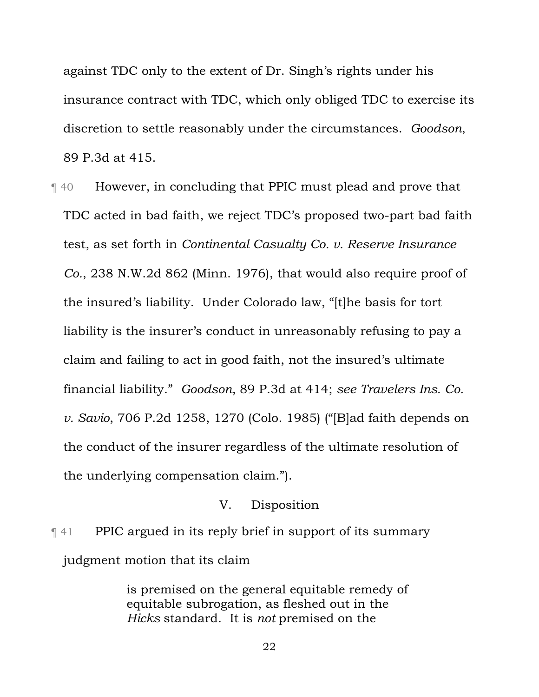against TDC only to the extent of Dr. Singh's rights under his insurance contract with TDC, which only obliged TDC to exercise its discretion to settle reasonably under the circumstances. *Goodson*, 89 P.3d at 415.

¶ 40 However, in concluding that PPIC must plead and prove that TDC acted in bad faith, we reject TDC's proposed two-part bad faith test, as set forth in *Continental Casualty Co. v. Reserve Insurance Co.*, 238 N.W.2d 862 (Minn. 1976), that would also require proof of the insured's liability. Under Colorado law, "[t]he basis for tort liability is the insurer's conduct in unreasonably refusing to pay a claim and failing to act in good faith, not the insured's ultimate financial liability." *Goodson*, 89 P.3d at 414; *see Travelers Ins. Co. v. Savio*, 706 P.2d 1258, 1270 (Colo. 1985) ("[B]ad faith depends on the conduct of the insurer regardless of the ultimate resolution of the underlying compensation claim.").

### V. Disposition

¶ 41 PPIC argued in its reply brief in support of its summary judgment motion that its claim

> is premised on the general equitable remedy of equitable subrogation, as fleshed out in the *Hicks* standard. It is *not* premised on the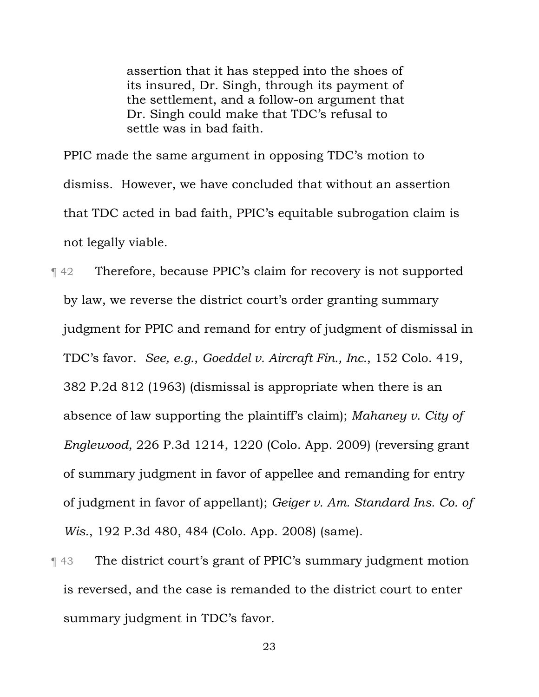assertion that it has stepped into the shoes of its insured, Dr. Singh, through its payment of the settlement, and a follow-on argument that Dr. Singh could make that TDC's refusal to settle was in bad faith.

PPIC made the same argument in opposing TDC's motion to dismiss. However, we have concluded that without an assertion that TDC acted in bad faith, PPIC's equitable subrogation claim is not legally viable.

¶ 42 Therefore, because PPIC's claim for recovery is not supported by law, we reverse the district court's order granting summary judgment for PPIC and remand for entry of judgment of dismissal in TDC's favor. *See, e.g.*, *Goeddel v. Aircraft Fin., Inc.*, 152 Colo. 419, 382 P.2d 812 (1963) (dismissal is appropriate when there is an absence of law supporting the plaintiff's claim); *Mahaney v. City of Englewood*, 226 P.3d 1214, 1220 (Colo. App. 2009) (reversing grant of summary judgment in favor of appellee and remanding for entry of judgment in favor of appellant); *Geiger v. Am. Standard Ins. Co. of Wis.*, 192 P.3d 480, 484 (Colo. App. 2008) (same).

¶ 43 The district court's grant of PPIC's summary judgment motion is reversed, and the case is remanded to the district court to enter summary judgment in TDC's favor.